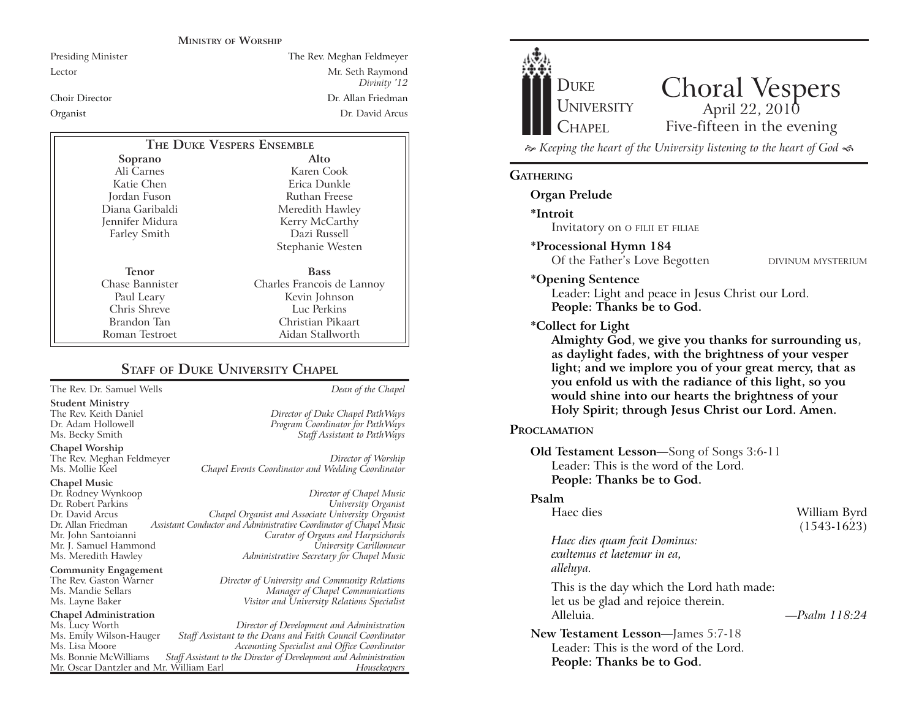#### **MINISTRY OF WORSHIP**

Presiding Minister The Rev. Meghan Feldmeyer Lector Mr. Seth Raymond *Divinity '12* Choir Director Dr. Allan FriedmanOrganist Dr. David Arcus

| THE DUKE VESPERS ENSEMBLE |                            |
|---------------------------|----------------------------|
| Soprano                   | Alto                       |
| Ali Carnes                | Karen Cook                 |
| Katie Chen                | Erica Dunkle               |
| Jordan Fuson              | Ruthan Freese              |
| Diana Garibaldi           | Meredith Hawley            |
| Jennifer Midura           | Kerry McCarthy             |
| <b>Farley Smith</b>       | Dazi Russell               |
|                           | Stephanie Westen           |
| <b>Tenor</b>              | <b>Bass</b>                |
| Chase Bannister           | Charles Francois de Lannoy |
| Paul Leary                | Kevin Johnson              |
| Chris Shreve              | Luc Perkins                |
| Brandon Tan               | Christian Pikaart          |
| Roman Testroet            | Aidan Stallworth           |

#### **STAFF OF DUKE UNIVERSITY CHAPEL**

The Rev. Dr. Samuel Wells *Dean of the Chapel*

**Student Ministry**

The Rev. Meghan Feldmeyer *Director of Worship* Chapel Events Coordinator and Wedding Coordinator

## **Chapel Music**

**Chapel Worship**

Mr. J. Samuel Hammond

**Community Engagement**<br>The Rev. Gaston Warner

**Chapel Administration** 

Mr. Oscar Dantzler and Mr. William Earl

The Rev. Keith Daniel *Director of Duke Chapel PathWays* Program Coordinator for PathWays Ms. Becky Smith *Staff Assistant to PathWays*

Dr. Rodney Wynkoop *Director of Chapel Music* Dr. Robert Parkins *University Organist* Dr. David Arcus *Chapel Organist and Associate University Organist* Dr. Allan Friedman *Assistant Conductor and Administrative Coordinator of Chapel Music* Mr. John Santoianni *Curator of Organs and Harpsichords* Ms. Meredith Hawley *Administrative Secretary for Chapel Music*

The Rev. Gaston Warner *Director of University and Community Relations* Ms. Mandie Sellars *Manager of Chapel Communications* Ms. Layne Baker *Visitor and University Relations Specialist*

Ms. Lucy Worth *Director of Development and Administration* Ms. Emily Wilson-Hauger *Staff Assistant to the Deans and Faith Council Coordinator* Ms. Lisa Moore *Accounting Specialist and Office Coordinator* Staff Assistant to the Director of Development and Administration<br>Fassistant Director of Development and *Housekeepers* 



 *Keeping the heart of the University listening to the heart of God* 

#### **GATHERING**

**Organ Prelude**

**\*Introit** 

Invitatory on O FILII ET FILIAE

**\*Processional Hymn 184**

Of the Father's Love Begotten DIVINUM MYSTERIUM

#### **\*Opening Sentence**

Leader: Light and peace in Jesus Christ our Lord. **People: Thanks be to God.**

#### **\*Collect for Light**

**Almighty God, we give you thanks for surrounding us, as daylight fades, with the brightness of your vesper light; and we implore you of your great mercy, that as you enfold us with the radiance of this light, so you would shine into our hearts the brightness of your Holy Spirit; through Jesus Christ our Lord. Amen.** 

#### **PROCLAMATION**

**Old Testament Lesson**—Song of Songs 3:6-11 Leader: This is the word of the Lord. **People: Thanks be to God.**

#### **Psalm**

| Haec dies                                                                                     | William Byrd<br>$(1543-1623)$ |
|-----------------------------------------------------------------------------------------------|-------------------------------|
| Haec dies quam fecit Dominus:<br>exultemus et laetemur in ea,<br>alleluya.                    |                               |
| This is the day which the Lord hath made:<br>let us be glad and rejoice therein.<br>Alleluia. | -Psalm 118:24                 |
| <b>New Testament Lesson—James 5:7-18</b>                                                      |                               |
| Leader: This is the word of the Lord.                                                         |                               |
| People: Thanks be to God.                                                                     |                               |